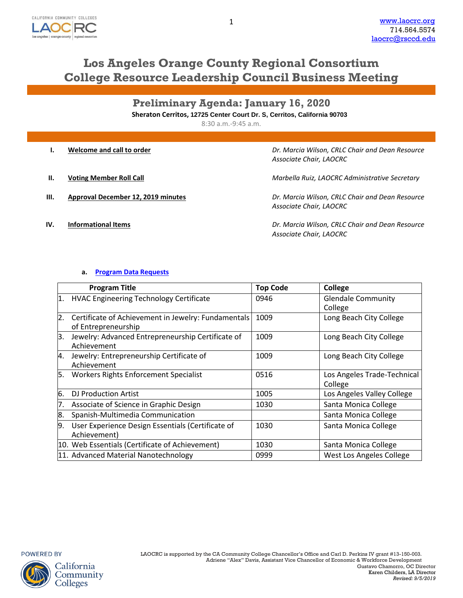

# **Los Angeles Orange County Regional Consortium College Resource Leadership Council Business Meeting**

**Preliminary Agenda: January 16, 2020 Sheraton Cerritos, 12725 Center Court Dr. S, Cerritos, California 90703**

8:30 a.m.-9:45 a.m.

|     | Welcome and call to order          | Dr. Marcia Wilson, CRLC Chair and Dean Resource<br>Associate Chair, LAOCRC |
|-----|------------------------------------|----------------------------------------------------------------------------|
| Н.  | <b>Voting Member Roll Call</b>     | Marbella Ruiz, LAOCRC Administrative Secretary                             |
| Ш.  | Approval December 12, 2019 minutes | Dr. Marcia Wilson, CRLC Chair and Dean Resource<br>Associate Chair, LAOCRC |
| IV. | <b>Informational Items</b>         | Dr. Marcia Wilson, CRLC Chair and Dean Resource                            |

*Associate Chair, LAOCRC*

## **a. Program Data [Requests](http://www.laocrc.org/educators/program-approval/program-intents)**

|    | <b>Program Title</b>                                                       | <b>Top Code</b> | <b>College</b>                         |
|----|----------------------------------------------------------------------------|-----------------|----------------------------------------|
| 1. | <b>HVAC Engineering Technology Certificate</b>                             | 0946            | <b>Glendale Community</b><br>College   |
| 2. | Certificate of Achievement in Jewelry: Fundamentals<br>of Entrepreneurship | 1009            | Long Beach City College                |
| Β. | Jewelry: Advanced Entrepreneurship Certificate of<br>Achievement           | 1009            | Long Beach City College                |
| 4. | Jewelry: Entrepreneurship Certificate of<br>Achievement                    | 1009            | Long Beach City College                |
| 5. | <b>Workers Rights Enforcement Specialist</b>                               | 0516            | Los Angeles Trade-Technical<br>College |
| 6. | <b>DJ Production Artist</b>                                                | 1005            | Los Angeles Valley College             |
| 7. | Associate of Science in Graphic Design                                     | 1030            | Santa Monica College                   |
| 8. | Spanish-Multimedia Communication                                           |                 | Santa Monica College                   |
| 9. | User Experience Design Essentials (Certificate of<br>Achievement)          | 1030            | Santa Monica College                   |
|    | 10. Web Essentials (Certificate of Achievement)                            | 1030            | Santa Monica College                   |
|    | 11. Advanced Material Nanotechnology                                       | 0999            | West Los Angeles College               |

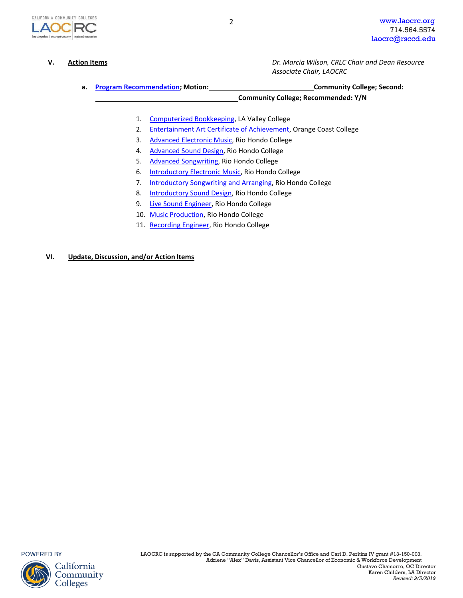

**V. Action Items** *Dr. Marcia Wilson, CRLC Chair and Dean Resource Associate Chair, LAOCRC*

**a. [Program Recommendation;](https://www.regionalcte.org/browse?region=4&status=4&search&submit) Motion: Community College; Second:**

**Community College; Recommended: Y/N**

- 1. [Computerized Bookkeeping,](https://www.regionalcte.org/browse/40Y83) LA Valley College
- 2. [Entertainment Art Certificate of Achievement,](https://www.regionalcte.org/browse/ZmNl4) Orange Coast College
- 3. [Advanced Electronic Music,](https://www.regionalcte.org/browse/3jxaZ) Rio Hondo College
- 4. [Advanced Sound Design,](https://www.regionalcte.org/browse/Keoq4) Rio Hondo College
- 5. [Advanced Songwriting,](https://www.regionalcte.org/browse/41Q74) Rio Hondo College
- 6. [Introductory Electronic Music,](https://www.regionalcte.org/browse/41L7Z) Rio Hondo College
- 7. [Introductory Songwriting](https://www.regionalcte.org/browse/3LvOZ) and Arranging, Rio Hondo College
- 8. [Introductory Sound Design,](https://www.regionalcte.org/browse/40Qb3) Rio Hondo College
- 9. [Live Sound Engineer,](https://www.regionalcte.org/browse/3XvqZ) Rio Hondo College
- 10. [Music Production,](https://www.regionalcte.org/browse/Z9pBK) Rio Hondo College
- 11. [Recording Engineer,](https://www.regionalcte.org/browse/3QvVK) Rio Hondo College

### **VI. Update, Discussion, and/or Action Items**